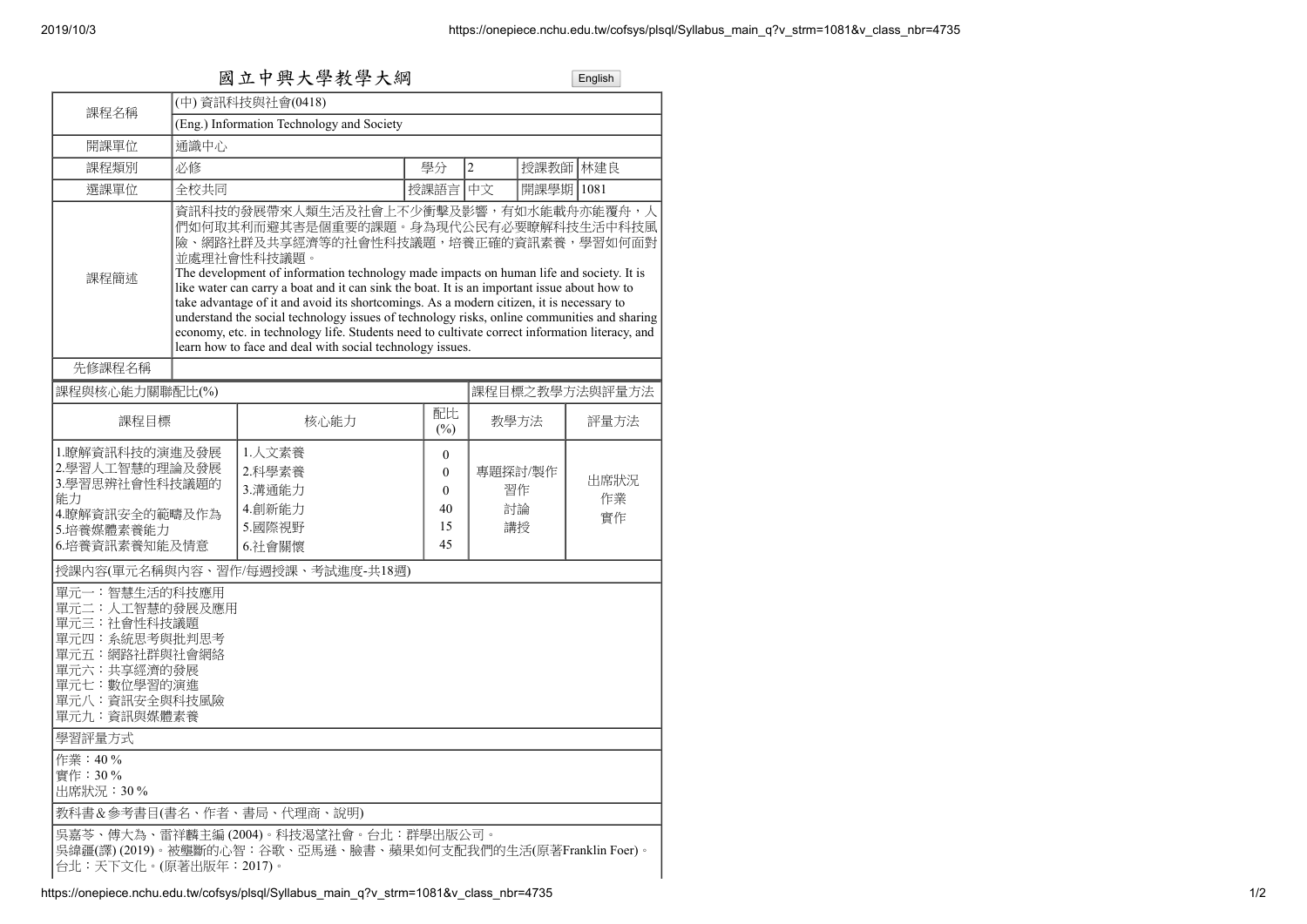| 國立中興大學教學大綱                                                                                                                                      |                                                                                                                                                                                                                                                                                                                                                                                                                                                                                                                                                                                                                                                                                            |                                                                                                        |           |                                                        |                           |      | English          |  |
|-------------------------------------------------------------------------------------------------------------------------------------------------|--------------------------------------------------------------------------------------------------------------------------------------------------------------------------------------------------------------------------------------------------------------------------------------------------------------------------------------------------------------------------------------------------------------------------------------------------------------------------------------------------------------------------------------------------------------------------------------------------------------------------------------------------------------------------------------------|--------------------------------------------------------------------------------------------------------|-----------|--------------------------------------------------------|---------------------------|------|------------------|--|
| 課程名稱                                                                                                                                            |                                                                                                                                                                                                                                                                                                                                                                                                                                                                                                                                                                                                                                                                                            | (中) 資訊科技與社會(0418)                                                                                      |           |                                                        |                           |      |                  |  |
|                                                                                                                                                 | (Eng.) Information Technology and Society                                                                                                                                                                                                                                                                                                                                                                                                                                                                                                                                                                                                                                                  |                                                                                                        |           |                                                        |                           |      |                  |  |
| 開課單位                                                                                                                                            | 通識中心                                                                                                                                                                                                                                                                                                                                                                                                                                                                                                                                                                                                                                                                                       |                                                                                                        |           |                                                        |                           |      |                  |  |
| 課程類別                                                                                                                                            | 必修                                                                                                                                                                                                                                                                                                                                                                                                                                                                                                                                                                                                                                                                                         |                                                                                                        |           | 學分                                                     | $\overline{2}$            | 授課教師 | 林建良              |  |
| 選課單位                                                                                                                                            | 全校共同                                                                                                                                                                                                                                                                                                                                                                                                                                                                                                                                                                                                                                                                                       |                                                                                                        |           | 授課語言                                                   | 中文                        | 開課學期 | 1081             |  |
| 課程簡述                                                                                                                                            | 資訊科技的發展帶來人類生活及社會上不少衝擊及影響,有如水能載舟亦能覆舟,人<br>們如何取其利而避其害是個重要的課題。身為現代公民有必要瞭解科技生活中科技風<br>險、網路社群及共享經濟等的社會性科技議題,培養正確的資訊素養,學習如何面對<br>並處理社會性科技議題。<br>The development of information technology made impacts on human life and society. It is<br>like water can carry a boat and it can sink the boat. It is an important issue about how to<br>take advantage of it and avoid its shortcomings. As a modern citizen, it is necessary to<br>understand the social technology issues of technology risks, online communities and sharing<br>economy, etc. in technology life. Students need to cultivate correct information literacy, and<br>learn how to face and deal with social technology issues. |                                                                                                        |           |                                                        |                           |      |                  |  |
| 先修課程名稱                                                                                                                                          |                                                                                                                                                                                                                                                                                                                                                                                                                                                                                                                                                                                                                                                                                            |                                                                                                        |           |                                                        |                           |      |                  |  |
| 課程與核心能力關聯配比(%)                                                                                                                                  |                                                                                                                                                                                                                                                                                                                                                                                                                                                                                                                                                                                                                                                                                            |                                                                                                        |           |                                                        | 課程目標之教學方法與評量方法            |      |                  |  |
| 課程目標                                                                                                                                            |                                                                                                                                                                                                                                                                                                                                                                                                                                                                                                                                                                                                                                                                                            | 核心能力                                                                                                   | 配比<br>(%) |                                                        | 教學方法                      |      | 評量方法             |  |
| 1.瞭解資訊科技的演進及發展<br>2.學習人工智慧的理論及發展<br>3.學習思辨社會性科技議題的<br>能力<br>4.瞭解資訊安全的範疇及作為<br>5.培養媒體素養能力<br>6.培養資訊素養知能及情意                                       |                                                                                                                                                                                                                                                                                                                                                                                                                                                                                                                                                                                                                                                                                            | 1.人文素養<br>2.科學素養<br>3.溝通能力<br>4.創新能力<br>5.國際視野<br>6.社會關懷                                               |           | $\theta$<br>$\mathbf{0}$<br>$\theta$<br>40<br>15<br>45 | 專題探討/製作<br>習作<br>討論<br>講授 |      | 出席狀況<br>作業<br>實作 |  |
|                                                                                                                                                 |                                                                                                                                                                                                                                                                                                                                                                                                                                                                                                                                                                                                                                                                                            | 授課內容(單元名稱與內容、習作/每週授課、考試進度-共18週)                                                                        |           |                                                        |                           |      |                  |  |
| 單元一:智慧生活的科技應用<br>單元二:人工智慧的發展及應用<br>單元三:社會性科技議題<br>單元四: 系統思考與批判思考<br>單元五:網路社群與社會網絡<br>單元六:共享經濟的發展<br>單元七:數位學習的演進<br>單元八:資訊安全與科技風險<br>單元九:資訊與媒體素養 |                                                                                                                                                                                                                                                                                                                                                                                                                                                                                                                                                                                                                                                                                            |                                                                                                        |           |                                                        |                           |      |                  |  |
| 學習評量方式                                                                                                                                          |                                                                                                                                                                                                                                                                                                                                                                                                                                                                                                                                                                                                                                                                                            |                                                                                                        |           |                                                        |                           |      |                  |  |
| 作業: 40%<br>實作:30%<br>出席狀況:30%                                                                                                                   |                                                                                                                                                                                                                                                                                                                                                                                                                                                                                                                                                                                                                                                                                            |                                                                                                        |           |                                                        |                           |      |                  |  |
|                                                                                                                                                 |                                                                                                                                                                                                                                                                                                                                                                                                                                                                                                                                                                                                                                                                                            | 教科書&參考書目(書名、作者、書局、代理商、說明)                                                                              |           |                                                        |                           |      |                  |  |
| 台北:天下文化。(原著出版年:2017)。                                                                                                                           |                                                                                                                                                                                                                                                                                                                                                                                                                                                                                                                                                                                                                                                                                            | 吳嘉苓、傅大為、雷祥麟主編 (2004)。科技渴望社會。台北:群學出版公司。<br>吳緯疆(譯) (2019)。被壟斷的心智:谷歌、亞馬遜、臉書、蘋果如何支配我們的生活(原著Franklin Foer)。 |           |                                                        |                           |      |                  |  |